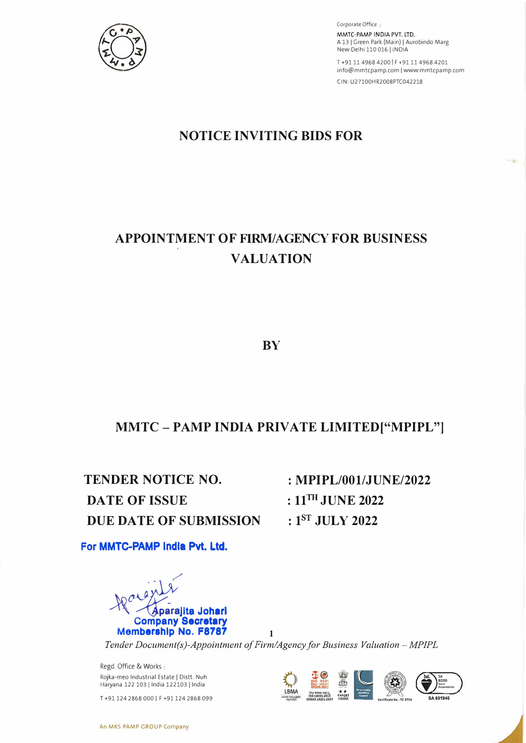

Corporate Office: **MMTC-PAMP INDIA** PVT. LTD. A 13 | Green Park (Main) | Aurobindo Marg New Delhi 110 016 I INDIA

T+91 11 4968 4200 | F+91 11 4968 4201 info@mmtcpamp.com | www.mmtcpamp.com CIN:U27100HR2008PTC042218

# **NOTICE INVITING BIDS FOR**

# **APPOINTMENT OF FIRM/AGENCY FOR BUSINESS VALUATION**

**BY** 

# **MMTC - PAMP INDIA PRIVATE LIMITED ["MPIPL"]**

**TENDER NOTICE NO. DA TE OF ISSUE DUE DATE OF SUBMISSION** 

**: MPIPL/001/JUNE/2022 : 11 TH JUNE 2022 : 1 sT JULY 2022** 

**For MMTC-PAMP lndla Pvt. Ltd.** 



*Tender Document(s)-Appointment of Firm/Agency for Business Valuation - MPIPL* 

Regd. Office & Works Rojka-meo Industrial Estate I Distt. Nuh Haryana 122 103 | India 122103 | India

T +91 124 2868 000 | F +91 124 2868 099

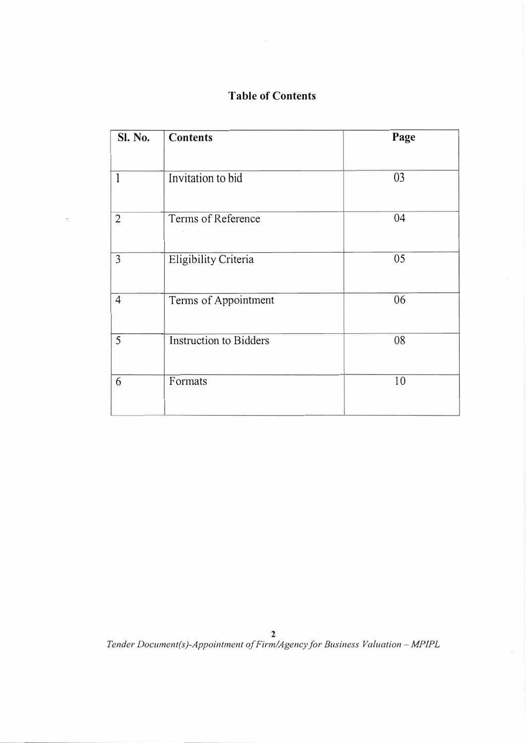# **Table of Contents**

| Sl. No.        | <b>Contents</b>               | Page |  |  |  |  |
|----------------|-------------------------------|------|--|--|--|--|
| 1              | Invitation to bid             | 03   |  |  |  |  |
| $\overline{2}$ | Terms of Reference            | 04   |  |  |  |  |
| $\overline{3}$ | Eligibility Criteria          | 05   |  |  |  |  |
| $\overline{4}$ | Terms of Appointment          | 06   |  |  |  |  |
| 5              | <b>Instruction to Bidders</b> | 08   |  |  |  |  |
| 6              | Formats                       | 10   |  |  |  |  |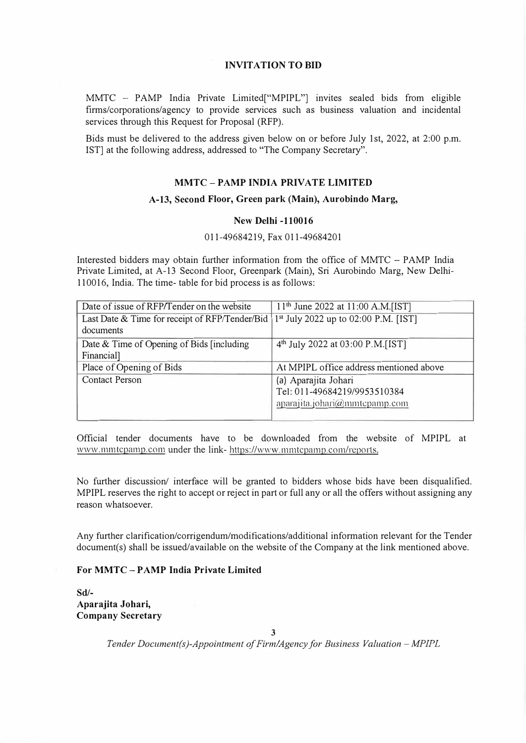#### **INVITATION TO BID**

MMTC - PAMP India Private Limited["MPIPL"] invites sealed bids from eligible firms/corporations/agency to provide services such as business valuation and incidental services through this Request for Proposal (RFP).

Bids must be delivered to the address given below on or before July 1st, 2022, at 2:00 p.m. 1ST] at the following address, addressed to "The Company Secretary".

#### **MMTC - PAMP INDIA PRIVATE LIMITED**

#### **A-13, Second Floor, Green park (Main), Aurobindo Marg,**

#### **New Delhi -110016**

#### 011-49684219, Fax 011-49684201

Interested bidders may obtain further information from the office of MMTC - PAMP India Private Limited, at A-13 Second Floor, Greenpark (Main), Sri Aurobindo Marg, New Delhi-110016, India. The time- table for bid process is as follows:

| Date of issue of RFP/Tender on the website     | $11th$ June 2022 at 11:00 A.M.[IST]              |
|------------------------------------------------|--------------------------------------------------|
| Last Date & Time for receipt of RFP/Tender/Bid | 1 <sup>st</sup> July 2022 up to 02:00 P.M. [IST] |
| documents                                      |                                                  |
| Date & Time of Opening of Bids [including]     | 4 <sup>th</sup> July 2022 at 03:00 P.M.[IST]     |
| Financial]                                     |                                                  |
| Place of Opening of Bids                       | At MPIPL office address mentioned above          |
| <b>Contact Person</b>                          | (a) Aparajita Johari                             |
|                                                | Tel: 011-49684219/9953510384                     |
|                                                | aparajita.johari@mmtcpamp.com                    |
|                                                |                                                  |

Official tender documents have to be downloaded from the website of MPIPL at www.mmtcpamp.com under the link- https://www.mmtcpamp.com/reports.

No further discussion/ interface will be granted to bidders whose bids have been disqualified. MPIPL reserves the right to accept or reject in part or full any or all the offers without assigning any reason whatsoever.

Any further clarification/corrigendum/modifications/additional information relevant for the Tender document(s) shall be issued/available on the website of the Company at the link mentioned above.

#### **For MMTC - P AMP India Private Limited**

**Sd/- Aparajita Johari, Company Secretary**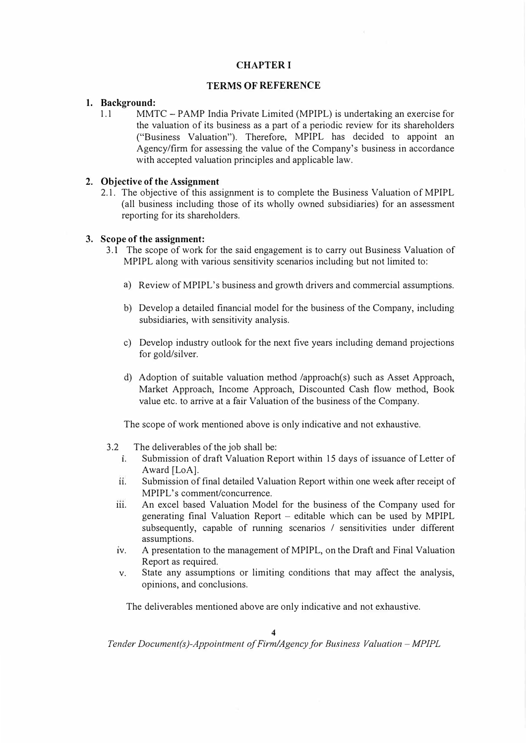### **CHAPTER I**

# **TERMS OF REFERENCE**

### **1. Background:**

1.1 MMTC - PAMP India Private Limited (MPIPL) is undertaking an exercise for the valuation of its business as a part of a periodic review for its shareholders ("Business Valuation"). Therefore, MPIPL has decided to appoint an Agency/firm for assessing the value of the Company's business in accordance with accepted valuation principles and applicable law.

### **2. Objective of the Assignment**

2.1. The objective of this assignment is to complete the Business Valuation of MPIPL (all business including those of its wholly owned subsidiaries) for an assessment reporting for its shareholders.

# **3. Scope of the assignment:**

- 3.1 The scope of work for the said engagement is to carry out Business Valuation of MPIPL along with various sensitivity scenarios including but not limited to:
	- a) Review of MPIPL's business and growth drivers and commercial assumptions.
	- b) Develop a detailed financial model for the business of the Company, including subsidiaries, with sensitivity analysis.
	- c) Develop industry outlook for the next five years including demand projections for gold/silver.
	- d) Adoption of suitable valuation method /approach(s) such as Asset Approach, Market Approach, Income Approach, Discounted Cash flow method, Book value etc. to arrive at a fair Valuation of the business of the Company.

The scope of work mentioned above is only indicative and not exhaustive.

- 3 .2 The deliverables of the job shall be:
	- 1. Submission of draft Valuation Report within 15 days of issuance of Letter of Award [LoA].
	- 11. Submission of final detailed Valuation Report within one week after receipt of MPIPL's comment/concurrence.
	- iii. An excel based Valuation Model for the business of the Company used for generating final Valuation Report  $-$  editable which can be used by MPIPL subsequently, capable of running scenarios / sensitivities under different assumptions.
	- 1v. A presentation to the management of MPIPL, on the Draft and Final Valuation Report as required.
	- v. State any assumptions or limiting conditions that may affect the analysis, opinions, and conclusions.

The deliverables mentioned above are only indicative and not exhaustive.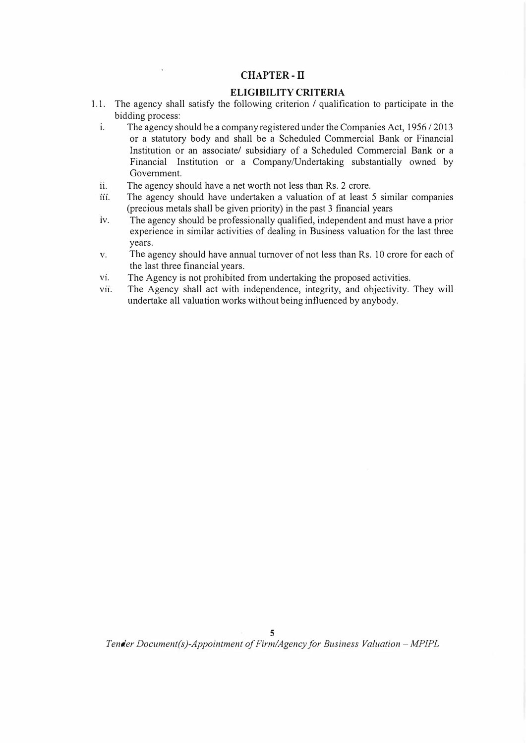### **CHAPTER-II**

#### **ELIGIBILITY CRITERIA**

- 1.1. The agency shall satisfy the following criterion / qualification to participate in the bidding process:
	- i. The agency should be a company registered under the Companies Act,  $1956/2013$ or a statutory body and shall be a Scheduled Commercial Bank or Financial Institution or an associate/ subsidiary of a Scheduled Commercial Bank or a Financial Institution or a Company/Undertaking substantially owned by Government.
	- ii. The agency should have a net worth not less than Rs. 2 crore.
	- iii. The agency should have undertaken a valuation of at least 5 similar companies (precious metals shall be given priority) in the past 3 fmancial years
	- 1v. The agency should be professionally qualified, independent and must have a prior experience in similar activities of dealing in Business valuation for the last three years.
	- v. The agency should have annual turnover of not less than Rs. 10 crore for each of the last three financial years.
	- v<sub>1</sub>. The Agency is not prohibited from undertaking the proposed activities.
	- vii. The Agency shall act with independence, integrity, and objectivity. They will undertake all valuation works without being influenced by anybody.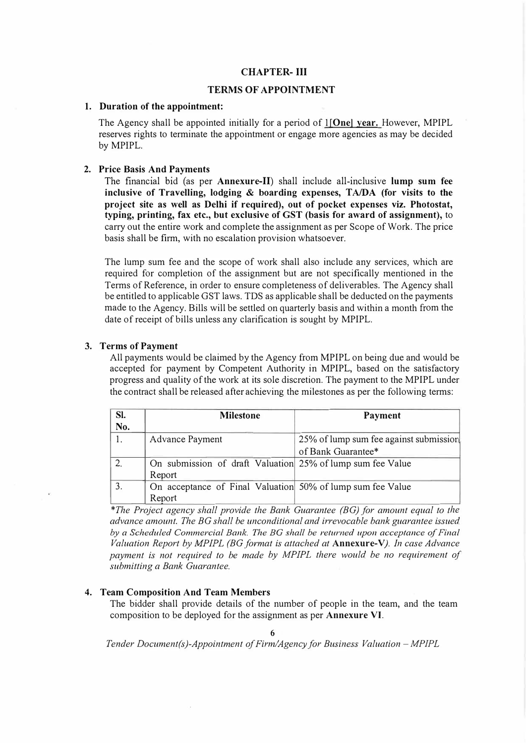#### **CHAPTER- III**

#### **TERMS OF APPOINTMENT**

#### **1. Duration of the appointment:**

The Agency shall be appointed initially for a period of I **[One) year.** However, MPIPL reserves rights to terminate the appointment or engage more agencies as may be decided by MPIPL.

#### **2. Price Basis And Payments**

The financial bid (as per **Annexure-11)** shall include all-inclusive **lump sum fee inclusive of Travelling, lodging** & **boarding expenses, TA/DA (for visits to the project site as well as Delhi if required), out of pocket expenses viz. Photostat, typing, printing, fax etc., but exclusive of GST (basis for award of assignment),** to carry out the entire work and complete the assignment as per Scope of Work. The price basis shall be firm, with no escalation provision whatsoever.

The lump sum fee and the scope of work shall also include any services, which are required for completion of the assignment but are not specifically mentioned in the Terms of Reference, in order to ensure completeness of deliverables. The Agency shall be entitled to applicable GST laws. TDS as applicable shall be deducted on the payments made to the Agency. Bills will be settled on quarterly basis and within a month from the date of receipt of bills unless any clarification is sought by MPIPL.

#### **3. Terms of Payment**

All payments would be claimed by the Agency from MPIPL on being due and would be accepted for payment by Competent Authority in MPIPL, based on the satisfactory progress and quality of the work at its sole discretion. The payment to the MPIPL under the contract shall be released after achieving the milestones as per the following terms:

| Sl.<br>No. | <b>Milestone</b>                                           | <b>Payment</b>                         |
|------------|------------------------------------------------------------|----------------------------------------|
|            | <b>Advance Payment</b>                                     | 25% of lump sum fee against submission |
|            |                                                            | of Bank Guarantee*                     |
| 2.         | On submission of draft Valuation 25% of lump sum fee Value |                                        |
|            | Report                                                     |                                        |
| 3.         | On acceptance of Final Valuation 50% of lump sum fee Value |                                        |
|            | Report                                                     |                                        |

*\*The Project agency shall provide the Bank Guarantee (BG) for amount equal to the advance amount. The BG shall be unconditional and irrevocable bank guarantee issued by a Scheduled Commercial Bank. The BG shall be returned upon acceptance of Final Valuation Report by MP/PL (BG format is attached at* **Annexure-V).** *In case Advance payment is not required to be made by MP/PL there would be no requirement of submitting a Bank Guarantee.*

#### **4. Team Composition And Team Members**

The bidder shall provide details of the number of people in the team, and the team composition to be deployed for the assignment as per **Annexure VI.**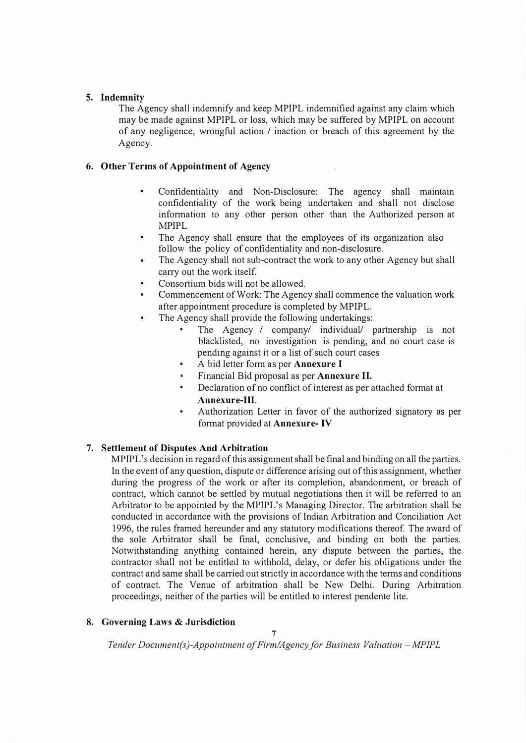#### **5. Indemnity**

The Agency shall indemnify and keep MPIPL indemnified against any claim which may be made against MPIPL or loss, which may be suffered by MPIPL on account of any negligence, wrongful action / inaction or breach of this agreement by the Agency.

#### **6. Other Terms of Appointment of Agency**

- Confidentiality and Non-Disclosure: The agency shall maintain confidentiality of the work being undertaken and shall not disclose information to any other person other than the Authorized person at MPIPL
- The Agency shall ensure that the employees of its organization also follow the policy of confidentiality and non-disclosure.
- The Agency shall not sub-contract the work to any other Agency but shall  $\bullet$ carry out the work itself.
- Consortium bids will not be allowed.
- • Commencement of Work: The Agency shall commence the valuation work after appointment procedure is completed by MPIPL.
- • The Agency shall provide the following undertakings:
	- • The Agency / company/ individual/ partnership is not blacklisted, no investigation is pending, and no court case is pending against it or a list of such court cases
	- •A bid letter form as per **Annexure** I
	- Financial Bid proposal as per **Annexure** II.
	- • Declaration of no conflict of interest as per attached format at **Annexure-111.**
	- • Authorization Letter in favor of the authorized signatory as per format provided at **Annexure-** IV

#### 7. **Settlement of Disputes And Arbitration**

MPIPL's decision in regard of this assignment shall be final and binding on all the parties. In the event of any question, dispute or difference arising out of this assignment, whether during the progress of the work or after its completion, abandonment, or breach of contract, which cannot be settled by mutual negotiations then it will be referred to an Arbitrator to be appointed by the MPIPL's Managing Director. The arbitration shall be conducted in accordance with the provisions of Indian Arbitration and Conciliation Act 1996, the rules framed hereunder and any statutory modifications thereof. The award of the sole Arbitrator shall be final, conclusive, and binding on both the parties. Notwithstanding anything contained herein, any dispute between the parties, the contractor shall not be entitled to withhold, delay, or defer his obligations under the contract and same shall be carried out strictly in accordance with the terms and conditions of contract. The Venue of arbitration shall be New Delhi. During Arbitration proceedings, neither of the parties will be entitled to interest pendente lite.

#### **8. Governing Laws & Jurisdiction**

**7**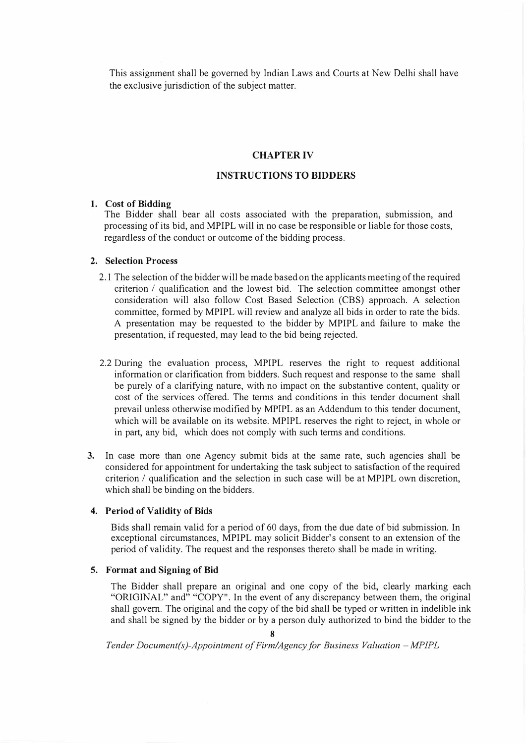This assignment shall be governed by Indian Laws and Courts at New Delhi shall have the exclusive jurisdiction of the subject matter.

#### **CHAPTER IV**

#### **INSTRUCTIONS TO BIDDERS**

#### **1. Cost of Bidding**

The Bidder shall bear all costs associated with the preparation, submission, and processing of its bid, and MPIPL will in no case be responsible or liable for those costs, regardless of the conduct or outcome of the bidding process.

#### **2. Selection Process**

- 2.1 The selection of the bidder will be made based on the applicants meeting of the required criterion / qualification and the lowest bid. The selection committee amongst other consideration will also follow Cost Based Selection (CBS) approach. A selection committee, formed by MPIPL will review and analyze all bids in order to rate the bids. A presentation may be requested to the bidder by MPIPL and failure to make the presentation, if requested, may lead to the bid being rejected.
- 2.2 During the evaluation process, MPIPL reserves the right to request additional information or clarification from bidders. Such request and response to the same shall be purely of a clarifying nature, with no impact on the substantive content, quality or cost of the services offered. The terms and conditions in this tender document shall prevail unless otherwise modified by MPIPL as an Addendum to this tender document, which will be available on its website. MPIPL reserves the right to reject, in whole or in part, any bid, which does not comply with such terms and conditions.
- 3. In case more than one Agency submit bids at the same rate, such agencies shall be considered for appointment for undertaking the task subject to satisfaction of the required criterion / qualification and the selection in such case will be at MPIPL own discretion, which shall be binding on the bidders.

#### **4. Period of Validity of Bids**

Bids shall remain valid for a period of 60 days, from the due date of bid submission. In exceptional circumstances, MPIPL may solicit Bidder's consent to an extension of the period of validity. The request and the responses thereto shall be made in writing.

#### **5. Format and Signing of Bid**

The Bidder shall prepare an original and one copy of the bid, clearly marking each "ORIGINAL" and" "COPY". In the event of any discrepancy between them, the original shall govern. The original and the copy of the bid shall be typed or written in indelible ink and shall be signed by the bidder or by a person duly authorized to bind the bidder to the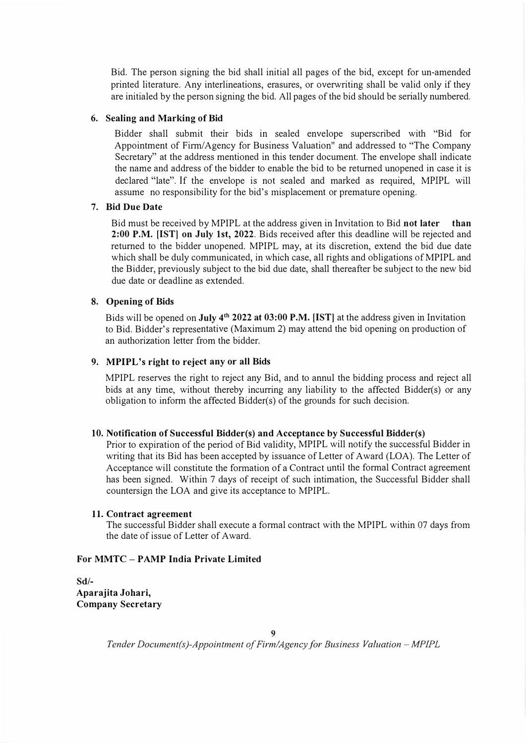Bid. The person signing the bid shall initial all pages of the bid, except for un-amended printed literature. Any interlineations, erasures, or overwriting shall be valid only if they are initialed by the person signing the bid. All pages of the bid should be serially numbered.

#### **6. Sealing and Marking of Bid**

Bidder shall submit their bids in sealed envelope superscribed with "Bid for Appointment of Finn/Agency for Business Valuation" and addressed to "The Company Secretary" at the address mentioned in this tender document. The envelope shall indicate the name and address of the bidder to enable the bid to be returned unopened in case it is declared "late". If the envelope is not sealed and marked as required, MPIPL will assume no responsibility for the bid's misplacement or premature opening.

#### **7. Bid Due Date**

Bid must be received by MPIPL at the address given in Invitation to Bid **not later than 2:00 P.M. [1ST] on July 1st, 2022.** Bids received after this deadline will be rejected and returned to the bidder unopened. MPIPL may, at its discretion, extend the bid due date which shall be duly communicated, in which case, all rights and obligations of MPIPL and the Bidder, previously subject to the bid due date, shall thereafter be subject to the new bid due date or deadline as extended.

#### **8. Opening of Bids**

Bids will be opened on **July 4<sup>th</sup> 2022 at 03:00 P.M. [IST**] at the address given in Invitation to Bid. Bidder's representative (Maximum 2) may attend the bid opening on production of an authorization letter from the bidder.

#### **9. MPIPL's right to reject any or all Bids**

MPIPL reserves the right to reject any Bid, and to annul the bidding process and reject all bids at any time, without thereby incurring any liability to the affected Bidder(s) or any obligation to inform the affected Bidder(s) of the grounds for such decision.

#### **10. Notification of Successful Bidder(s) and Acceptance by Successful Bidder(s)**

Prior to expiration of the period of Bid validity, MPIPL will notify the successful Bidder in writing that its Bid has been accepted by issuance of Letter of Award (LOA). The Letter of Acceptance will constitute the formation of a Contract until the formal Contract agreement has been signed. Within 7 days of receipt of such intimation, the Successful Bidder shall countersign the LOA and give its acceptance to MPIPL.

#### I I. **Contract agreement**

The successful Bidder shall execute a formal contract with the MPIPL within 07 days from the date of issue of Letter of Award.

# **For MMTC - PAMP India Private Limited**

**Sd/- Aparajita Johari, Company Secretary**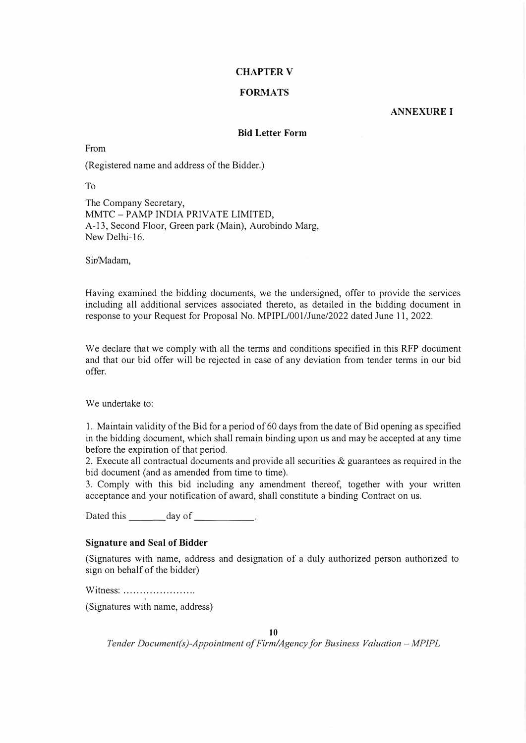### **CHAPTER V**

### **FORMATS**

#### **ANNEXUREI**

#### **Bid Letter Form**

From

(Registered name and address of the Bidder.)

To

The Company Secretary, MMTC - PAMP INDIA PRIVATE LIMITED, A-13, Second Floor, Green park (Main), Aurobindo Marg, New Delhi-16.

Sir/Madam,

Having examined the bidding documents, we the undersigned, offer to provide the services including all additional services associated thereto, as detailed in the bidding document in response to your Request for Proposal No. MPIPL/001/June/2022 dated June 11, 2022.

We declare that we comply with all the terms and conditions specified in this RFP document and that our bid offer will be rejected in case of any deviation from tender terms in our bid offer.

We undertake to:

1. Maintain validity of the Bid for a period of 60 days from the date of Bid opening as specified in the bidding document, which shall remain binding upon us and may be accepted at any time before the expiration of that period.

2. Execute all contractual documents and provide all securities & guarantees as required in the bid document (and as amended from time to time).

3. Comply with this bid including any amendment thereof, together with your written acceptance and your notification of award, shall constitute a binding Contract on us.

Dated this \_\_\_\_\_ day of \_\_\_\_\_\_\_\_\_\_.

#### **Signature and Seal of Bidder**

(Signatures with name, address and designation of a duly authorized person authorized to sign on behalf of the bidder)

Witness: ..................... .

(Signatures with name, address)

**IO**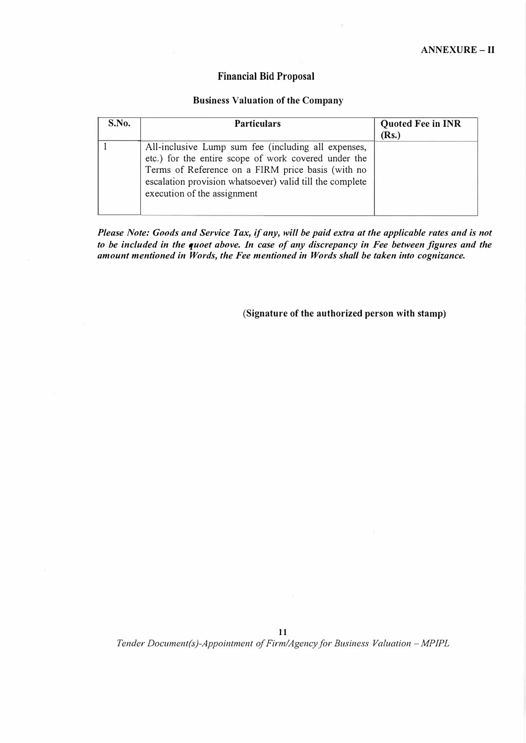# **Financial Bid Proposal**

#### **Business Valuation of the Company**

| S.No. | <b>Particulars</b>                                                                                                                                                                                                                                          | <b>Quoted Fee in INR</b> |
|-------|-------------------------------------------------------------------------------------------------------------------------------------------------------------------------------------------------------------------------------------------------------------|--------------------------|
|       |                                                                                                                                                                                                                                                             | (Rs.)                    |
|       | All-inclusive Lump sum fee (including all expenses,<br>etc.) for the entire scope of work covered under the<br>Terms of Reference on a FIRM price basis (with no<br>escalation provision whatsoever) valid till the complete<br>execution of the assignment |                          |

*Please Note: Goods and Service Tax, if any, will be paid extra at the applicable rates and is not to be included in the quoet above. In case of any discrepancy in Fee between figures and the amount mentioned in Words, the Fee mentioned in Words shall be taken into cognizance.* 

(Signature of the authorized person with stamp)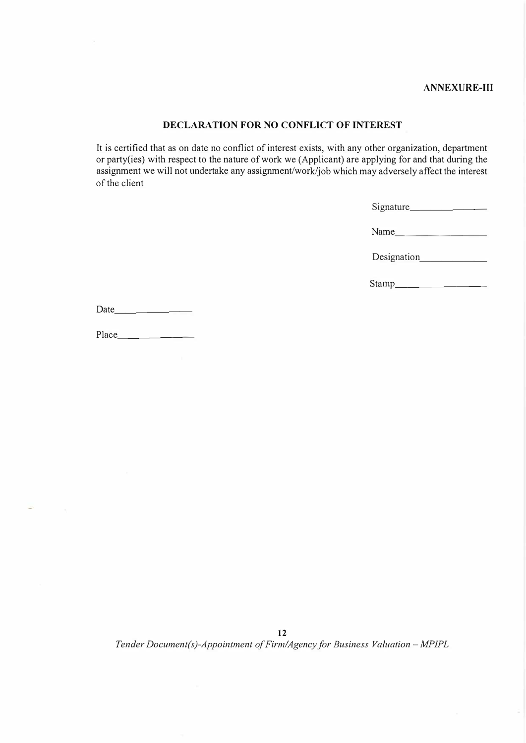# **ANNEXURE-ill**

# **DECLARATION FOR NO CONFLICT OF INTEREST**

It is certified that as on date no conflict of interest exists, with any other organization, department or party( ies) with respect to the nature of work we (Applicant) are applying for and that during the assignment we will not undertake any assignment/wor<sup>k</sup>/job which may adversely affect the interest of the client

| Signature |  |
|-----------|--|
|           |  |

Name --------

Designation\_\_\_\_\_\_\_

Stamp \_\_\_\_\_\_\_ \_

Place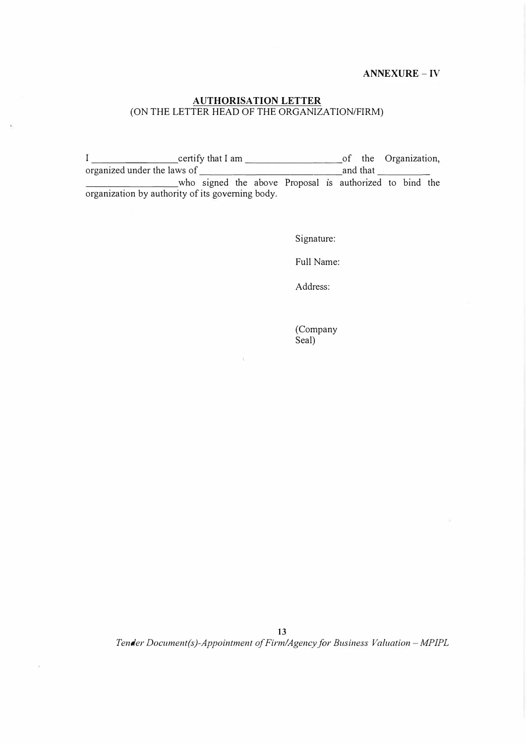#### **ANNEXURE** - IV

# **AUTHORISATION LETTER**  (ON THE LETTER HEAD OF THE ORGANIZATION/FIRM)

I \_\_\_\_\_\_\_\_ certify that I am \_\_\_\_\_\_\_\_\_ of the Organization, organized under the laws of  $\qquad \qquad$  and that  $\qquad$ who signed the above Proposal is authorized to bind the organization by authority of its governing body.

Signature:

Full Name:

Address:

(Company Seal)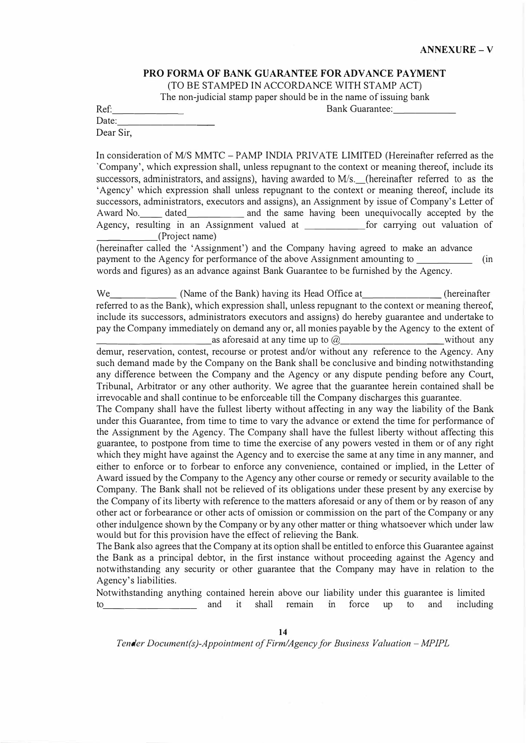# **PRO FORMA OF BANK GUARANTEE FOR ADVANCE PAYMENT**

(TO BE STAMPED IN ACCORDANCE WITH STAMP ACT)

The non-judicial stamp paper should be in the name of issuing bank

Ref:\_\_\_\_\_\_\_ Bank Guarantee: \_\_\_\_\_ \_

Date: Dear Sir,

In consideration of MIS MMTC - PAMP INDIA PRIVATE LIMITED (Hereinafter referred as the 'Company', which expression shall, unless repugnant to the context or meaning thereof, include its successors, administrators, and assigns), having awarded to M/s. (hereinafter referred to as the 'Agency' which expression shall unless repugnant to the context or meaning thereof, include its successors, administrators, executors and assigns), an Assignment by issue of Company's Letter of Award No. \_\_\_\_\_ dated \_\_\_\_\_\_\_\_\_\_\_\_ and the same having been unequivocally accepted by the Agency, resulting in an Assignment valued at for carrying out valuation of \_\_\_\_\_ (Project name)

(hereinafter called the 'Assignment') and the Company having agreed to make an advance payment to the Agency for performance of the above Assignment amounting to \_\_\_\_\_ (in words and figures) as an advance against Bank Guarantee to be furnished by the Agency.

We (Name of the Bank) having its Head Office at (hereinafter referred to as the Bank), which expression shall, unless repugnant to the context or meaning thereof, include its successors, administrators executors and assigns) do hereby guarantee and undertake to pay the Company immediately on demand any or, all monies payable by the Agency to the extent of as aforesaid at any time up to  $\omega$  without any

demur, reservation, contest, recourse or protest and/or without any reference to the Agency. Any such demand made by the Company on the Bank shall be conclusive and binding notwithstanding any difference between the Company and the Agency or any dispute pending before any Court, Tribunal, Arbitrator or any other authority. We agree that the guarantee herein contained shall be irrevocable and shall continue to be enforceable till the Company discharges this guarantee.

The Company shall have the fullest liberty without affecting in any way the liability of the Bank under this Guarantee, from time to time to vary the advance or extend the time for performance of the Assignment by the Agency. The Company shall have the fullest liberty without affecting this guarantee, to postpone from time to time the exercise of any powers vested in them or of any right which they might have against the Agency and to exercise the same at any time in any manner, and either to enforce or to forbear to enforce any convenience, contained or implied, in the Letter of Award issued by the Company to the Agency any other course or remedy or security available to the Company. The Bank shall not be relieved of its obligations under these present by any exercise by the Company of its liberty with reference to the matters aforesaid or any of them or by reason of any other act or forbearance or other acts of omission or commission on the part of the Company or any other indulgence shown by the Company or by any other matter or thing whatsoever which under law would but for this provision have the effect of relieving the Bank.

The Bank also agrees that the Company at its option shall be entitled to enforce this Guarantee against the Bank as a principal debtor, in the first instance without proceeding against the Agency and notwithstanding any security or other guarantee that the Company may have in relation to the Agency's liabilities.

Notwithstanding anything contained herein above our liability under this guarantee is limited to and it shall remain in force up to and including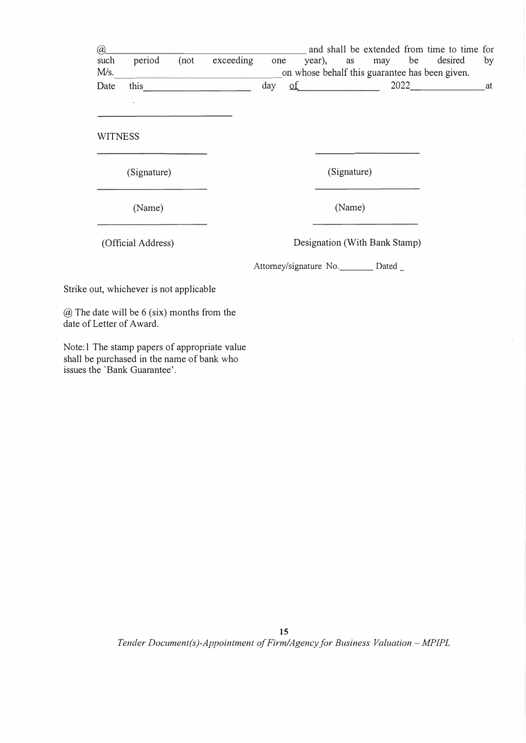| @<br>such<br>M/s. | period                                                                        | (not)<br><u> 1980 - Jan Jan James Harry Barnett (</u> | exceeding | one |  |             |                                         | and shall be extended from time to time for<br>year), as may be desired<br>on whose behalf this guarantee has been given. | by |
|-------------------|-------------------------------------------------------------------------------|-------------------------------------------------------|-----------|-----|--|-------------|-----------------------------------------|---------------------------------------------------------------------------------------------------------------------------|----|
| Date              |                                                                               | this $\qquad \qquad$                                  |           |     |  |             |                                         | day of 2022 at                                                                                                            |    |
|                   | y.                                                                            |                                                       |           |     |  |             |                                         |                                                                                                                           |    |
| <b>WITNESS</b>    |                                                                               |                                                       |           |     |  |             |                                         |                                                                                                                           |    |
|                   | (Signature)                                                                   |                                                       |           |     |  | (Signature) |                                         |                                                                                                                           |    |
|                   | (Name)                                                                        |                                                       |           |     |  | (Name)      |                                         |                                                                                                                           |    |
|                   | (Official Address)                                                            |                                                       |           |     |  |             | Designation (With Bank Stamp)           |                                                                                                                           |    |
|                   |                                                                               |                                                       |           |     |  |             | Attorney/signature No. ________ Dated _ |                                                                                                                           |    |
|                   | Strike out, whichever is not applicable                                       |                                                       |           |     |  |             |                                         |                                                                                                                           |    |
|                   | $\omega$ The date will be 6 (six) months from the<br>date of Letter of Award. |                                                       |           |     |  |             |                                         |                                                                                                                           |    |

Note: l The stamp papers of appropriate value shall be purchased in the name of bank who issues the 'Bank Guarantee'.